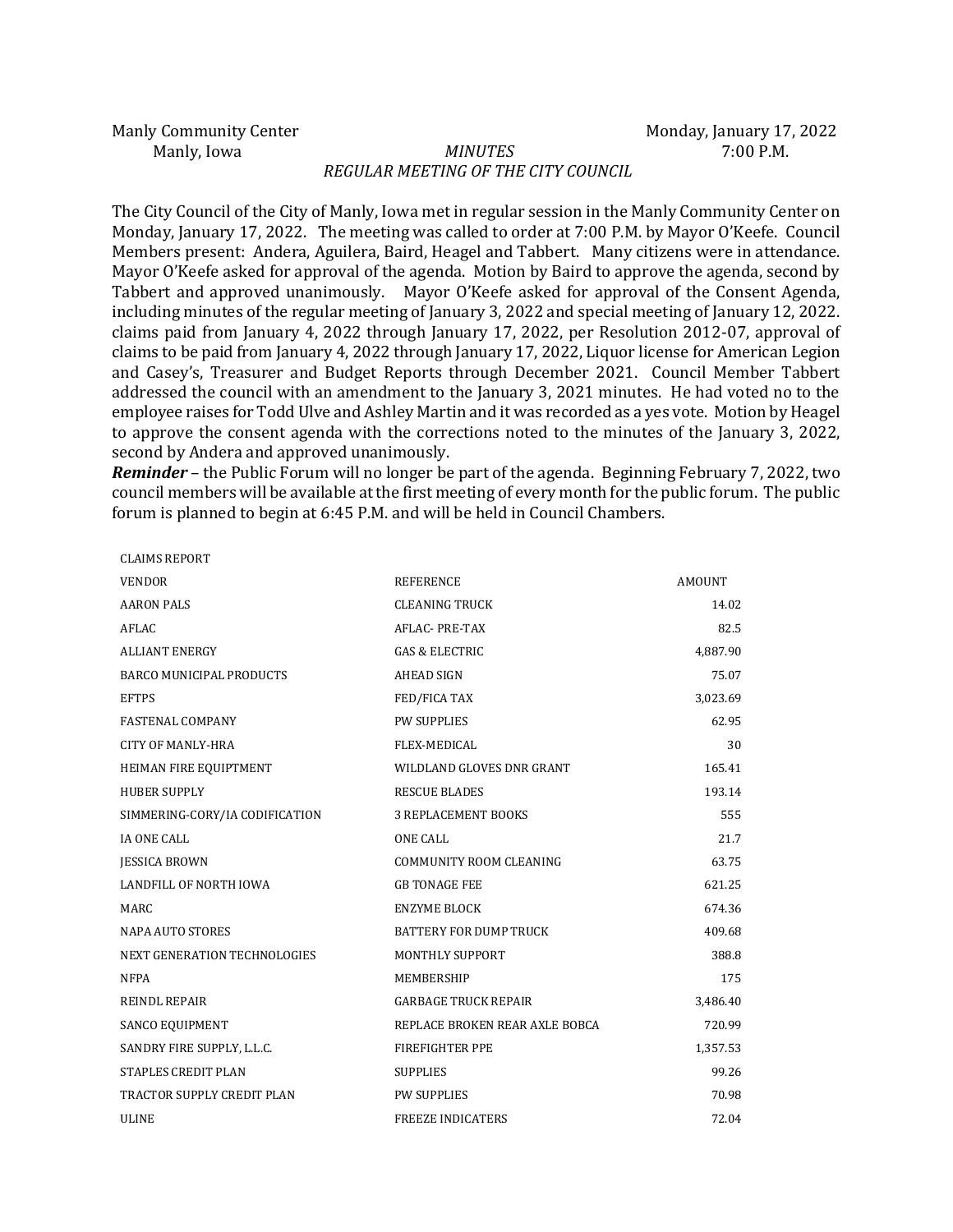Manly Community Center **Monday, Inc. 2022** Monday, January 17, 2022

CLAIMS REPORT

## Manly, Iowa *MINUTES* 7:00 P.M. *REGULAR MEETING OF THE CITY COUNCIL*

The City Council of the City of Manly, Iowa met in regular session in the Manly Community Center on Monday, January 17, 2022. The meeting was called to order at 7:00 P.M. by Mayor O'Keefe. Council Members present: Andera, Aguilera, Baird, Heagel and Tabbert. Many citizens were in attendance. Mayor O'Keefe asked for approval of the agenda. Motion by Baird to approve the agenda, second by Tabbert and approved unanimously. Mayor O'Keefe asked for approval of the Consent Agenda, including minutes of the regular meeting of January 3, 2022 and special meeting of January 12, 2022. claims paid from January 4, 2022 through January 17, 2022, per Resolution 2012-07, approval of claims to be paid from January 4, 2022 through January 17, 2022, Liquor license for American Legion and Casey's, Treasurer and Budget Reports through December 2021. Council Member Tabbert addressed the council with an amendment to the January 3, 2021 minutes. He had voted no to the employee raises for Todd Ulve and Ashley Martin and it was recorded as a yes vote. Motion by Heagel to approve the consent agenda with the corrections noted to the minutes of the January 3, 2022, second by Andera and approved unanimously.

*Reminder* – the Public Forum will no longer be part of the agenda. Beginning February 7, 2022, two council members will be available at the first meeting of every month for the public forum. The public forum is planned to begin at 6:45 P.M. and will be held in Council Chambers.

| <b>CLAIMS REPORT</b>              |                                |          |
|-----------------------------------|--------------------------------|----------|
| <b>VENDOR</b>                     | <b>REFERENCE</b>               | AMOUNT   |
| <b>AARON PALS</b>                 | <b>CLEANING TRUCK</b>          | 14.02    |
| <b>AFLAC</b>                      | <b>AFLAC-PRE-TAX</b>           | 82.5     |
| <b>ALLIANT ENERGY</b>             | <b>GAS &amp; ELECTRIC</b>      | 4,887.90 |
| <b>BARCO MUNICIPAL PRODUCTS</b>   | <b>AHEAD SIGN</b>              | 75.07    |
| <b>EFTPS</b>                      | FED/FICA TAX                   | 3,023.69 |
| <b>FASTENAL COMPANY</b>           | <b>PW SUPPLIES</b>             | 62.95    |
| <b>CITY OF MANLY-HRA</b>          | <b>FLEX-MEDICAL</b>            | 30       |
| HEIMAN FIRE EQUIPTMENT            | WILDLAND GLOVES DNR GRANT      | 165.41   |
| <b>HUBER SUPPLY</b>               | <b>RESCUE BLADES</b>           | 193.14   |
| SIMMERING-CORY/IA CODIFICATION    | <b>3 REPLACEMENT BOOKS</b>     | 555      |
| <b>IA ONE CALL</b>                | <b>ONE CALL</b>                | 21.7     |
| <b>JESSICA BROWN</b>              | <b>COMMUNITY ROOM CLEANING</b> | 63.75    |
| LANDFILL OF NORTH IOWA            | <b>GB TONAGE FEE</b>           | 621.25   |
| <b>MARC</b>                       | <b>ENZYME BLOCK</b>            | 674.36   |
| <b>NAPA AUTO STORES</b>           | <b>BATTERY FOR DUMP TRUCK</b>  | 409.68   |
| NEXT GENERATION TECHNOLOGIES      | <b>MONTHLY SUPPORT</b>         | 388.8    |
| <b>NFPA</b>                       | MEMBERSHIP                     | 175      |
| <b>REINDL REPAIR</b>              | <b>GARBAGE TRUCK REPAIR</b>    | 3,486.40 |
| SANCO EQUIPMENT                   | REPLACE BROKEN REAR AXLE BOBCA | 720.99   |
| SANDRY FIRE SUPPLY, L.L.C.        | <b>FIREFIGHTER PPE</b>         | 1,357.53 |
| <b>STAPLES CREDIT PLAN</b>        | <b>SUPPLIES</b>                | 99.26    |
| <b>TRACTOR SUPPLY CREDIT PLAN</b> | <b>PW SUPPLIES</b>             | 70.98    |
| <b>ULINE</b>                      | <b>FREEZE INDICATERS</b>       | 72.04    |